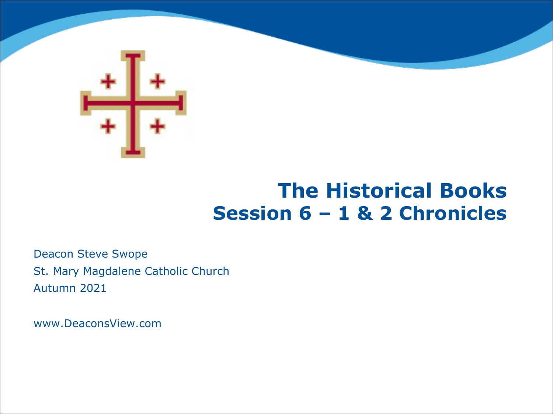

#### **The Historical Books Session 6 – 1 & 2 Chronicles**

Deacon Steve Swope St. Mary Magdalene Catholic Church Autumn 2021

www.DeaconsView.com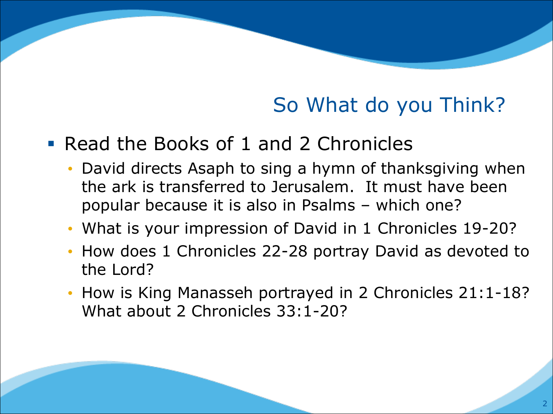# So What do you Think?

#### § Read the Books of 1 and 2 Chronicles

- David directs Asaph to sing a hymn of thanksgiving when the ark is transferred to Jerusalem. It must have been popular because it is also in Psalms – which one?
- What is your impression of David in 1 Chronicles 19-20?
- How does 1 Chronicles 22-28 portray David as devoted to the Lord?
- How is King Manasseh portrayed in 2 Chronicles 21:1-18? What about 2 Chronicles 33:1-20?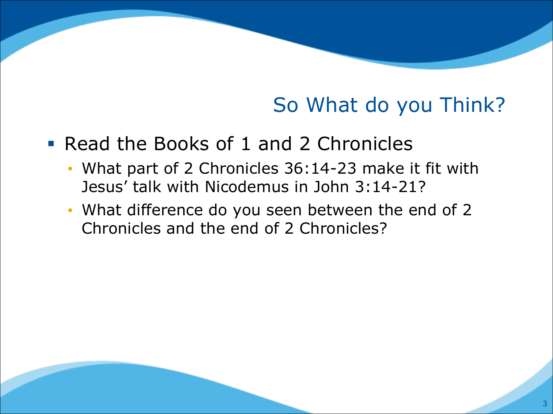## So What do you Think?

- Read the Books of 1 and 2 Chronicles
	- What part of 2 Chronicles 36:14-23 make it fit with Jesus' talk with Nicodemus in John 3:14-21?
	- What difference do you seen between the end of 2 Chronicles and the end of 2 Chronicles?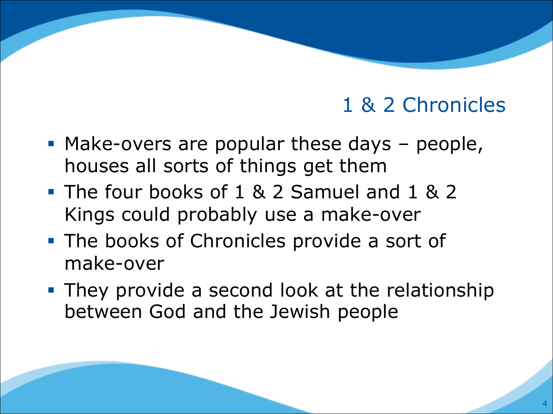- Make-overs are popular these days people, houses all sorts of things get them
- § The four books of 1 & 2 Samuel and 1 & 2 Kings could probably use a make-over
- The books of Chronicles provide a sort of make-over
- **They provide a second look at the relationship** between God and the Jewish people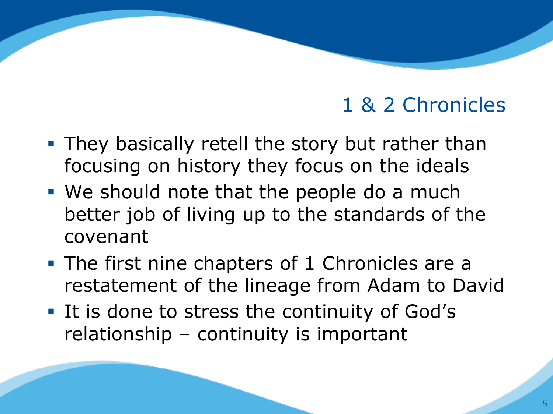- **They basically retell the story but rather than** focusing on history they focus on the ideals
- We should note that the people do a much better job of living up to the standards of the covenant
- The first nine chapters of 1 Chronicles are a restatement of the lineage from Adam to David
- It is done to stress the continuity of God's relationship – continuity is important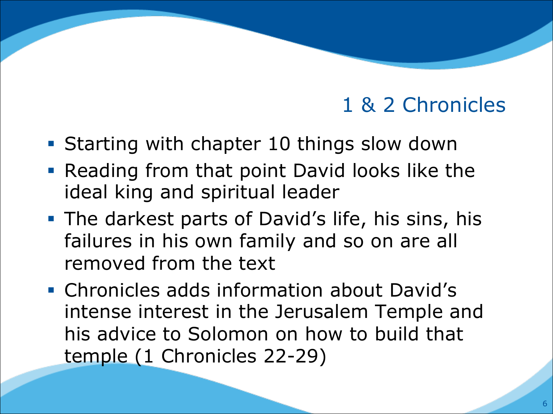- Starting with chapter 10 things slow down
- Reading from that point David looks like the ideal king and spiritual leader
- The darkest parts of David's life, his sins, his failures in his own family and so on are all removed from the text
- § Chronicles adds information about David's intense interest in the Jerusalem Temple and his advice to Solomon on how to build that temple (1 Chronicles 22-29)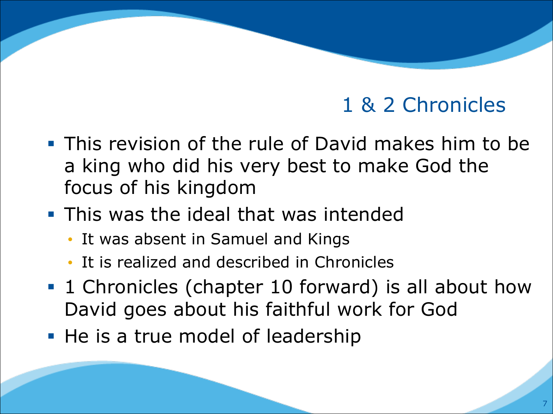- § This revision of the rule of David makes him to be a king who did his very best to make God the focus of his kingdom
- **This was the ideal that was intended** 
	- It was absent in Samuel and Kings
	- It is realized and described in Chronicles
- 1 Chronicles (chapter 10 forward) is all about how David goes about his faithful work for God
- He is a true model of leadership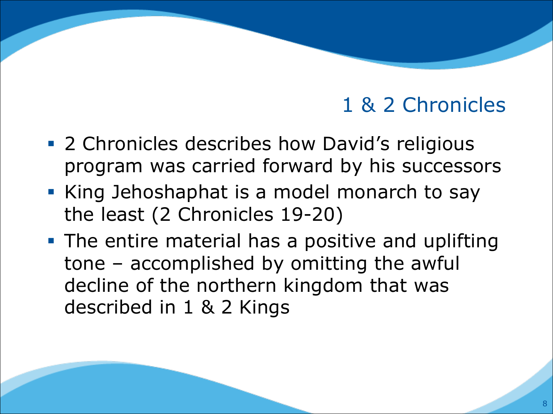- 2 Chronicles describes how David's religious program was carried forward by his successors
- § King Jehoshaphat is a model monarch to say the least (2 Chronicles 19-20)
- **The entire material has a positive and uplifting** tone – accomplished by omitting the awful decline of the northern kingdom that was described in 1 & 2 Kings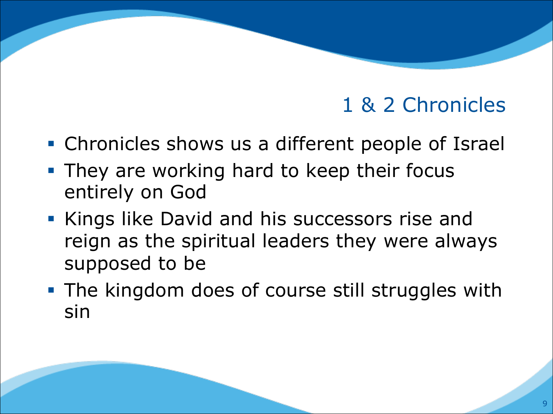- Chronicles shows us a different people of Israel
- **They are working hard to keep their focus** entirely on God
- § Kings like David and his successors rise and reign as the spiritual leaders they were always supposed to be
- **The kingdom does of course still struggles with** sin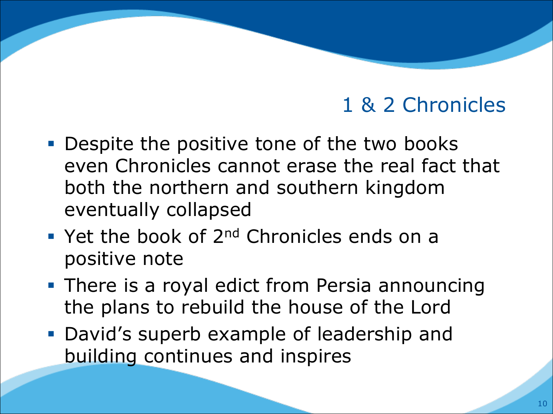- Despite the positive tone of the two books even Chronicles cannot erase the real fact that both the northern and southern kingdom eventually collapsed
- $\blacksquare$  Yet the book of 2<sup>nd</sup> Chronicles ends on a positive note
- **There is a royal edict from Persia announcing** the plans to rebuild the house of the Lord
- David's superb example of leadership and building continues and inspires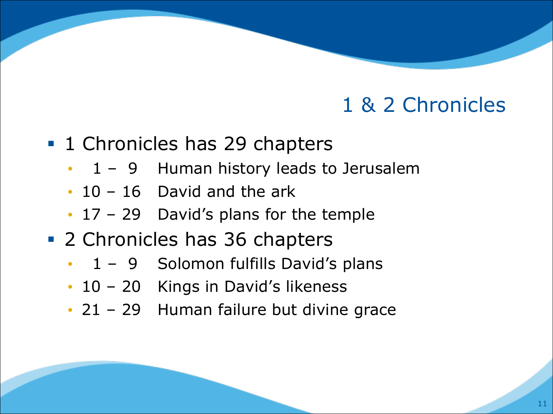- 1 Chronicles has 29 chapters
	- 1 9 Human history leads to Jerusalem
	- 10 16 David and the ark
	- 17 29 David's plans for the temple
- 2 Chronicles has 36 chapters
	- 1 9 Solomon fulfills David's plans
	- 10 20 Kings in David's likeness
	- 21 29 Human failure but divine grace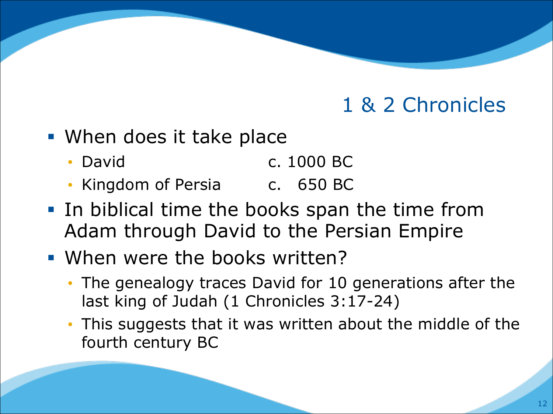- When does it take place
	- David c. 1000 BC
	- Kingdom of Persia c. 650 BC
- In biblical time the books span the time from Adam through David to the Persian Empire
- When were the books written?
	- The genealogy traces David for 10 generations after the last king of Judah (1 Chronicles 3:17-24)
	- This suggests that it was written about the middle of the fourth century BC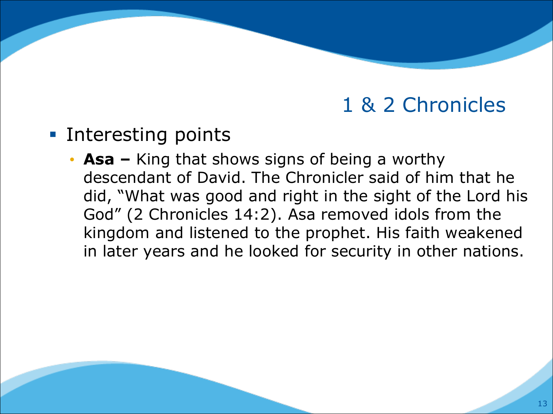- Interesting points
	- **Asa –** King that shows signs of being a worthy descendant of David. The Chronicler said of him that he did, "What was good and right in the sight of the Lord his God" (2 Chronicles 14:2). Asa removed idols from the kingdom and listened to the prophet. His faith weakened in later years and he looked for security in other nations.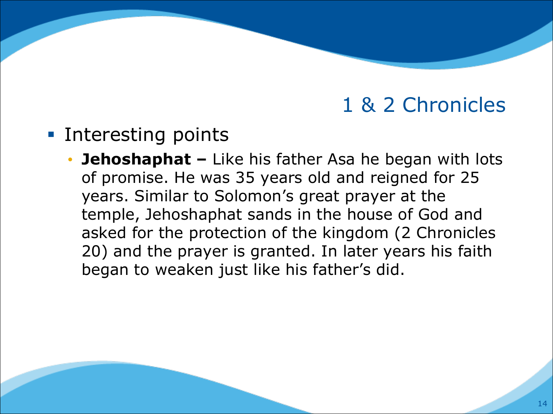- Interesting points
	- **Jehoshaphat –** Like his father Asa he began with lots of promise. He was 35 years old and reigned for 25 years. Similar to Solomon's great prayer at the temple, Jehoshaphat sands in the house of God and asked for the protection of the kingdom (2 Chronicles 20) and the prayer is granted. In later years his faith began to weaken just like his father's did.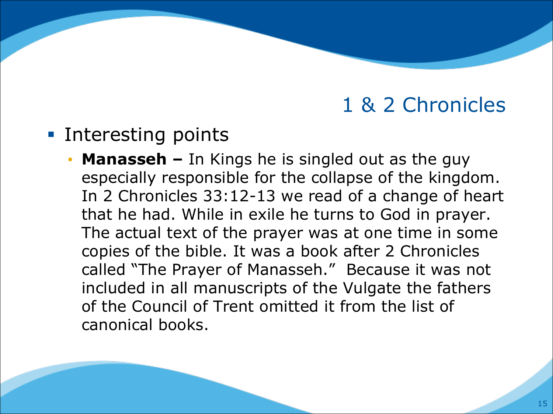- Interesting points
	- **Manasseh –** In Kings he is singled out as the guy especially responsible for the collapse of the kingdom. In 2 Chronicles 33:12-13 we read of a change of heart that he had. While in exile he turns to God in prayer. The actual text of the prayer was at one time in some copies of the bible. It was a book after 2 Chronicles called "The Prayer of Manasseh." Because it was not included in all manuscripts of the Vulgate the fathers of the Council of Trent omitted it from the list of canonical books.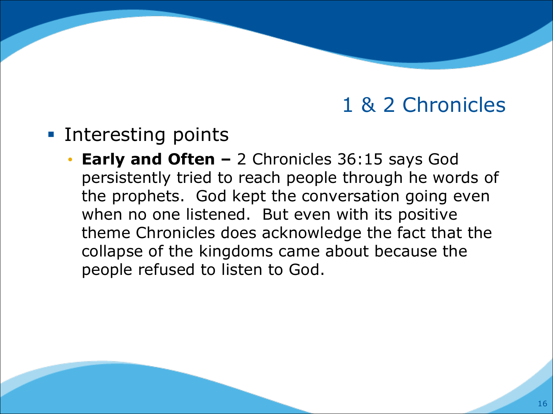- Interesting points
	- **Early and Often –** 2 Chronicles 36:15 says God persistently tried to reach people through he words of the prophets. God kept the conversation going even when no one listened. But even with its positive theme Chronicles does acknowledge the fact that the collapse of the kingdoms came about because the people refused to listen to God.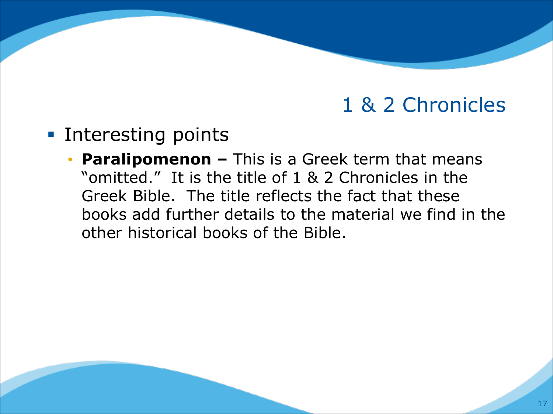- § Interesting points
	- **Paralipomenon –** This is a Greek term that means "omitted." It is the title of 1 & 2 Chronicles in the Greek Bible. The title reflects the fact that these books add further details to the material we find in the other historical books of the Bible.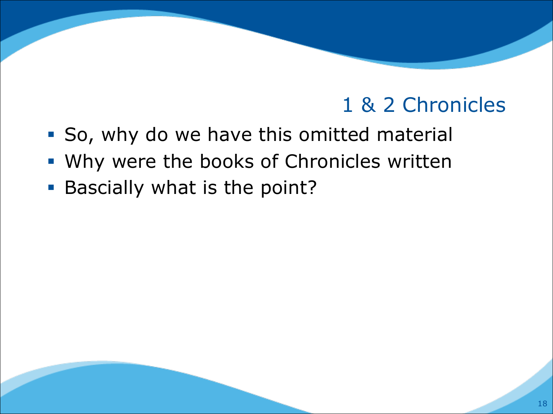- So, why do we have this omitted material
- Why were the books of Chronicles written
- Bascially what is the point?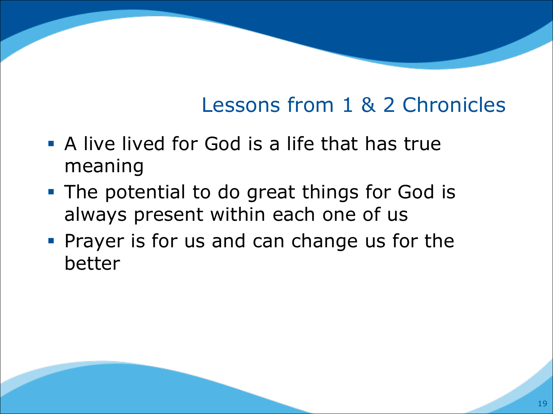# Lessons from 1 & 2 Chronicles

- **A live lived for God is a life that has true** meaning
- The potential to do great things for God is always present within each one of us
- § Prayer is for us and can change us for the better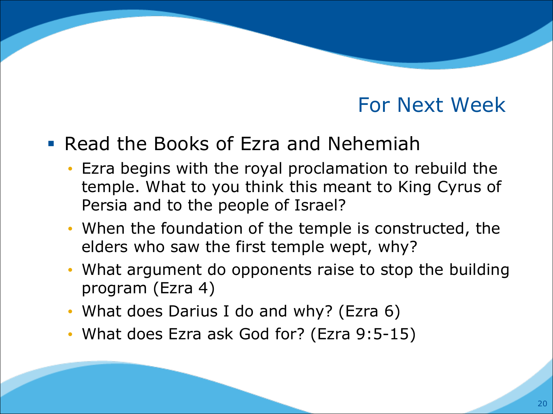#### For Next Week

#### § Read the Books of Ezra and Nehemiah

- Ezra begins with the royal proclamation to rebuild the temple. What to you think this meant to King Cyrus of Persia and to the people of Israel?
- When the foundation of the temple is constructed, the elders who saw the first temple wept, why?
- What argument do opponents raise to stop the building program (Ezra 4)
- What does Darius I do and why? (Ezra 6)
- What does Ezra ask God for? (Ezra 9:5-15)